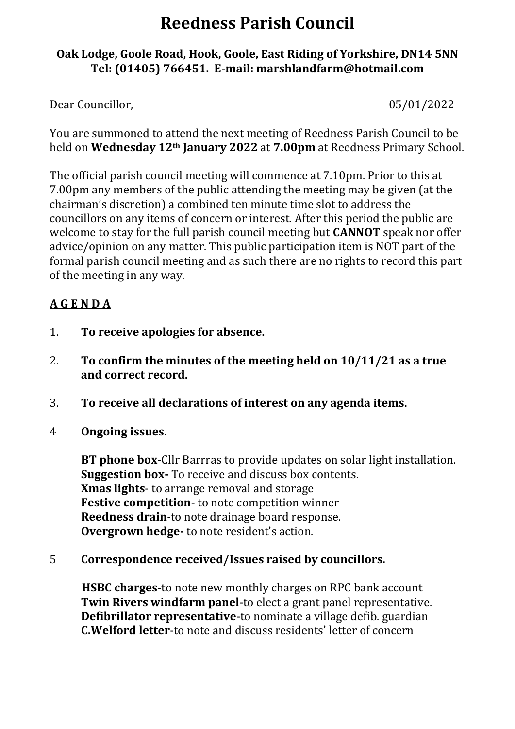# **Reedness Parish Council**

## **Oak Lodge, Goole Road, Hook, Goole, East Riding of Yorkshire, DN14 5NN Tel: (01405) 766451. E-mail: [marshlandfarm@hotmail.com](mailto:marshlandfarm@hotmail.com)**

Dear Councillor, 2002 05/01/2022

You are summoned to attend the next meeting of Reedness Parish Council to be held on **Wednesday 12th January 2022** at **7.00pm** at Reedness Primary School.

The official parish council meeting will commence at 7.10pm. Prior to this at 7.00pm any members of the public attending the meeting may be given (at the chairman's discretion) a combined ten minute time slot to address the councillors on any items of concern or interest. After this period the public are welcome to stay for the full parish council meeting but **CANNOT** speak nor offer advice/opinion on any matter. This public participation item is NOT part of the formal parish council meeting and as such there are no rights to record this part of the meeting in any way.

# **A G E N D A**

- 1. **To receive apologies for absence.**
- 2. **To confirm the minutes of the meeting held on 10/11/21 as a true and correct record.**
- 3. **To receive all declarations of interest on any agenda items.**
- 4 **Ongoing issues.**

**BT phone box**-Cllr Barrras to provide updates on solar light installation. **Suggestion box-** To receive and discuss box contents. **Xmas lights**- to arrange removal and storage **Festive competition-** to note competition winner **Reedness drain**-to note drainage board response. **Overgrown hedge-** to note resident's action.

5 **Correspondence received/Issues raised by councillors.**

 **HSBC charges-**to note new monthly charges on RPC bank account **Twin Rivers windfarm panel**-to elect a grant panel representative. **Defibrillator representative**-to nominate a village defib. guardian **C.Welford letter**-to note and discuss residents' letter of concern